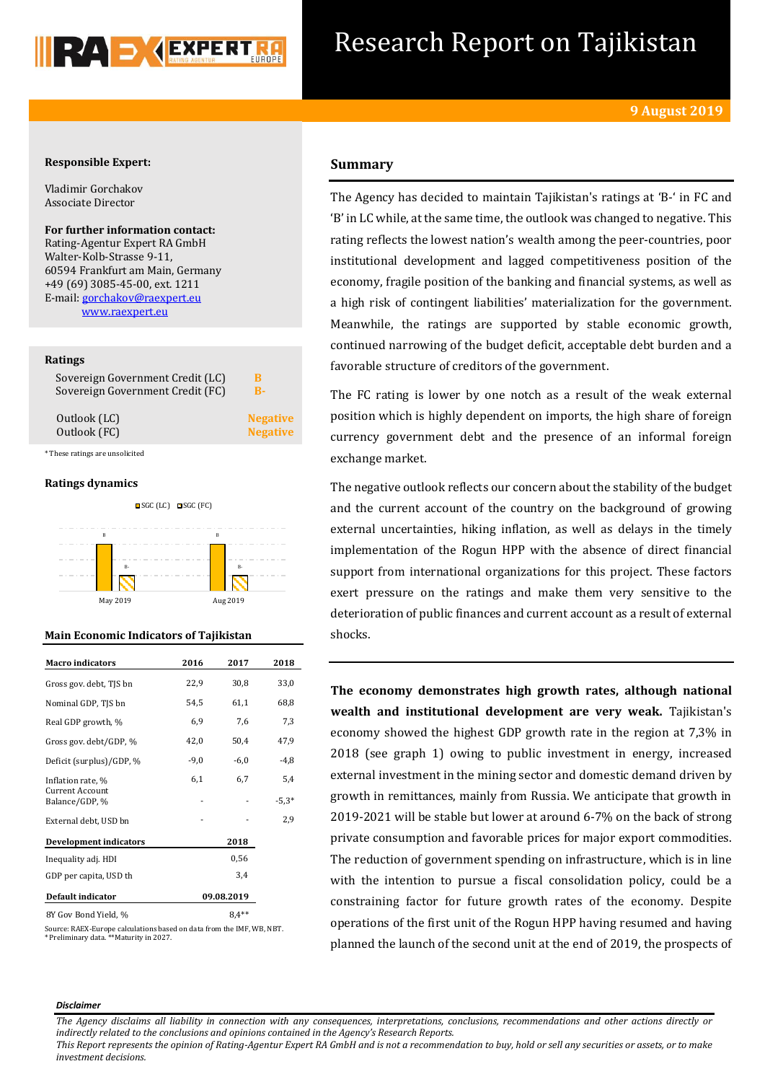

## Research Report on Tajikistan

## **Responsible Expert:**

Vladimir Gorchakov Associate Director

**For further information contact:** Rating-Agentur Expert RA GmbH Walter-Kolb-Strasse 9-11, 60594 Frankfurt am Main, Germany +49 (69) 3085-45-00, ext. 1211 E-mail[: gorchakov@raexpert.eu](mailto:gorchakov@raexpert.eu)  [www.raexpert.eu](http://raexpert.eu/)

## **Ratings**

| Sovereign Government Credit (LC) | B               |
|----------------------------------|-----------------|
| Sovereign Government Credit (FC) | R-              |
| Outlook (LC)                     | <b>Negative</b> |
| Outlook (FC)                     | <b>Negative</b> |

\* These ratings are unsolicited

## **Ratings dynamics**



## **Main Economic Indicators of Tajikistan**

| <b>Macro indicators</b>                  | 2016   | 2017       | 2018    |
|------------------------------------------|--------|------------|---------|
| Gross gov. debt, TJS bn                  | 22,9   | 30,8       | 33,0    |
| Nominal GDP, TJS bn                      | 54,5   | 61,1       | 68,8    |
| Real GDP growth, %                       | 6,9    | 7,6        | 7,3     |
| Gross gov. debt/GDP, %                   | 42,0   | 50,4       | 47,9    |
| Deficit (surplus)/GDP, %                 | $-9,0$ | $-6,0$     | -4,8    |
| Inflation rate, %                        | 6,1    | 6,7        | 5,4     |
| <b>Current Account</b><br>Balance/GDP, % |        |            | $-5.3*$ |
| External debt, USD bn                    |        |            | 2,9     |
| <b>Development indicators</b>            |        | 2018       |         |
| Inequality adj. HDI                      |        | 0,56       |         |
| GDP per capita, USD th                   |        | 3,4        |         |
| Default indicator                        |        | 09.08.2019 |         |
| 8Y Gov Bond Yield, %                     |        | $8.4**$    |         |

Source: RAEX-Europe calculations based on data from the IMF, WB, NBT. \* Preliminary data. \*\*Maturity in 2027.

## **Summary**

The Agency has decided to maintain Tajikistan's ratings at 'B-' in FC and 'B' in LC while, at the same time, the outlook was changed to negative. This rating reflects the lowest nation's wealth among the peer-countries, poor institutional development and lagged competitiveness position of the economy, fragile position of the banking and financial systems, as well as a high risk of contingent liabilities' materialization for the government. Meanwhile, the ratings are supported by stable economic growth, continued narrowing of the budget deficit, acceptable debt burden and a favorable structure of creditors of the government.

The FC rating is lower by one notch as a result of the weak external position which is highly dependent on imports, the high share of foreign currency government debt and the presence of an informal foreign exchange market.

The negative outlook reflects our concern about the stability of the budget and the current account of the country on the background of growing external uncertainties, hiking inflation, as well as delays in the timely implementation of the Rogun HPP with the absence of direct financial support from international organizations for this project. These factors exert pressure on the ratings and make them very sensitive to the deterioration of public finances and current account as a result of external shocks.

**The economy demonstrates high growth rates, although national wealth and institutional development are very weak.** Tajikistan's economy showed the highest GDP growth rate in the region at 7,3% in 2018 (see graph 1) owing to public investment in energy, increased external investment in the mining sector and domestic demand driven by growth in remittances, mainly from Russia. We anticipate that growth in 2019-2021 will be stable but lower at around 6-7% on the back of strong private consumption and favorable prices for major export commodities. The reduction of government spending on infrastructure, which is in line with the intention to pursue a fiscal consolidation policy, could be a constraining factor for future growth rates of the economy. Despite operations of the first unit of the Rogun HPP having resumed and having planned the launch of the second unit at the end of 2019, the prospects of

#### *Disclaimer*

*The Agency disclaims all liability in connection with any consequences, interpretations, conclusions, recommendations and other actions directly or indirectly related to the conclusions and opinions contained in the Agency's Research Reports.*

*This Report represents the opinion of Rating-Agentur Expert RA GmbH and is not a recommendation to buy, hold or sell any securities or assets, or to make investment decisions.*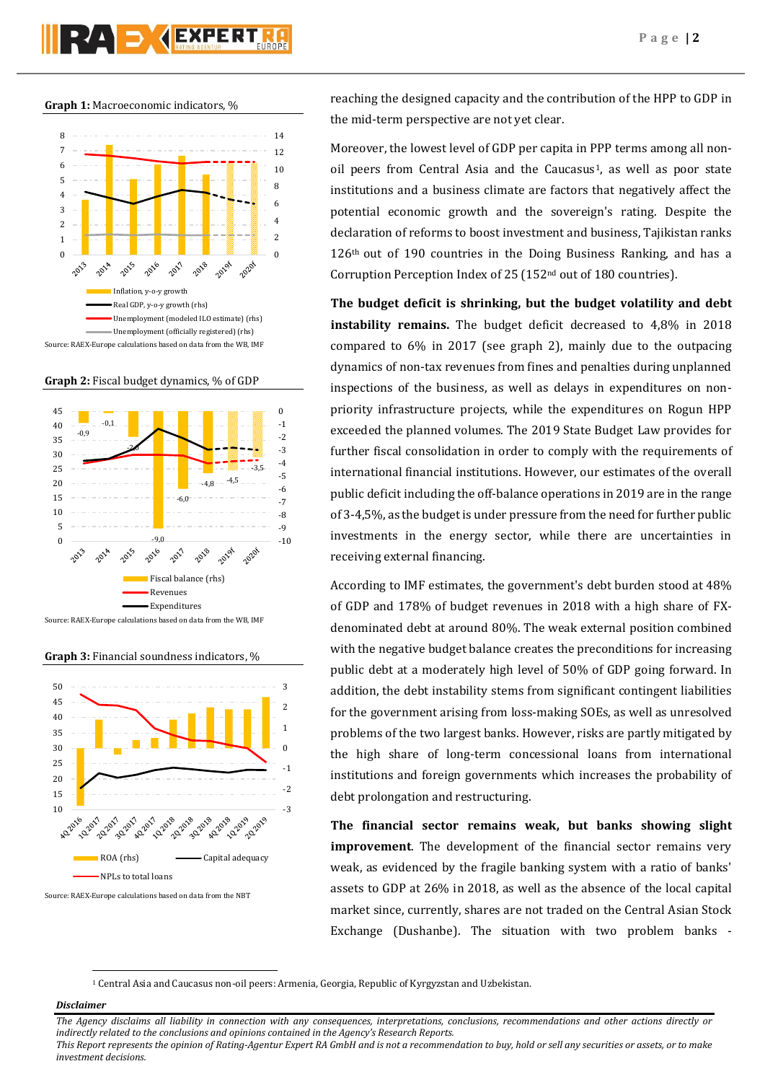# RAD **(EXPERT**

**Graph 1:** Macroeconomic indicators, %



**Graph 2:** Fiscal budget dynamics, % of GDP



Source: RAEX-Europe calculations based on data from the WB, IMF

**Graph 3:** Financial soundness indicators, %



Source: RAEX-Europe calculations based on data from the NBT

reaching the designed capacity and the contribution of the HPP to GDP in the mid-term perspective are not yet clear.

Moreover, the lowest level of GDP per capita in PPP terms among all nonoil peers from Central Asia and the Caucasus<sup>1</sup>, as well as poor state institutions and a business climate are factors that negatively affect the potential economic growth and the sovereign's rating. Despite the declaration of reforms to boost investment and business, Tajikistan ranks 126<sup>th</sup> out of 190 countries in the Doing Business Ranking, and has a Corruption Perception Index of 25 (152nd out of 180 countries).

**The budget deficit is shrinking, but the budget volatility and debt instability remains.** The budget deficit decreased to 4,8% in 2018 compared to 6% in 2017 (see graph 2), mainly due to the outpacing dynamics of non-tax revenues from fines and penalties during unplanned inspections of the business, as well as delays in expenditures on nonpriority infrastructure projects, while the expenditures on Rogun HPP exceeded the planned volumes. The 2019 State Budget Law provides for further fiscal consolidation in order to comply with the requirements of international financial institutions. However, our estimates of the overall public deficit including the off-balance operations in 2019 are in the range of 3-4,5%, as the budget is under pressure from the need for further public investments in the energy sector, while there are uncertainties in receiving external financing.

According to IMF estimates, the government's debt burden stood at 48% of GDP and 178% of budget revenues in 2018 with a high share of FXdenominated debt at around 80%. The weak external position combined with the negative budget balance creates the preconditions for increasing public debt at a moderately high level of 50% of GDP going forward. In addition, the debt instability stems from significant contingent liabilities for the government arising from loss-making SOEs, as well as unresolved problems of the two largest banks. However, risks are partly mitigated by the high share of long-term concessional loans from international institutions and foreign governments which increases the probability of debt prolongation and restructuring.

**The financial sector remains weak, but banks showing slight improvement**. The development of the financial sector remains very weak, as evidenced by the fragile banking system with a ratio of banks' assets to GDP at 26% in 2018, as well as the absence of the local capital market since, currently, shares are not traded on the Central Asian Stock Exchange (Dushanbe). The situation with two problem banks -

<sup>1</sup> Central Asia and Caucasus non-oil peers: Armenia, Georgia, Republic of Kyrgyzstan and Uzbekistan.

## *Disclaimer*

1

*The Agency disclaims all liability in connection with any consequences, interpretations, conclusions, recommendations and other actions directly or indirectly related to the conclusions and opinions contained in the Agency's Research Reports.*

*This Report represents the opinion of Rating-Agentur Expert RA GmbH and is not a recommendation to buy, hold or sell any securities or assets, or to make investment decisions.*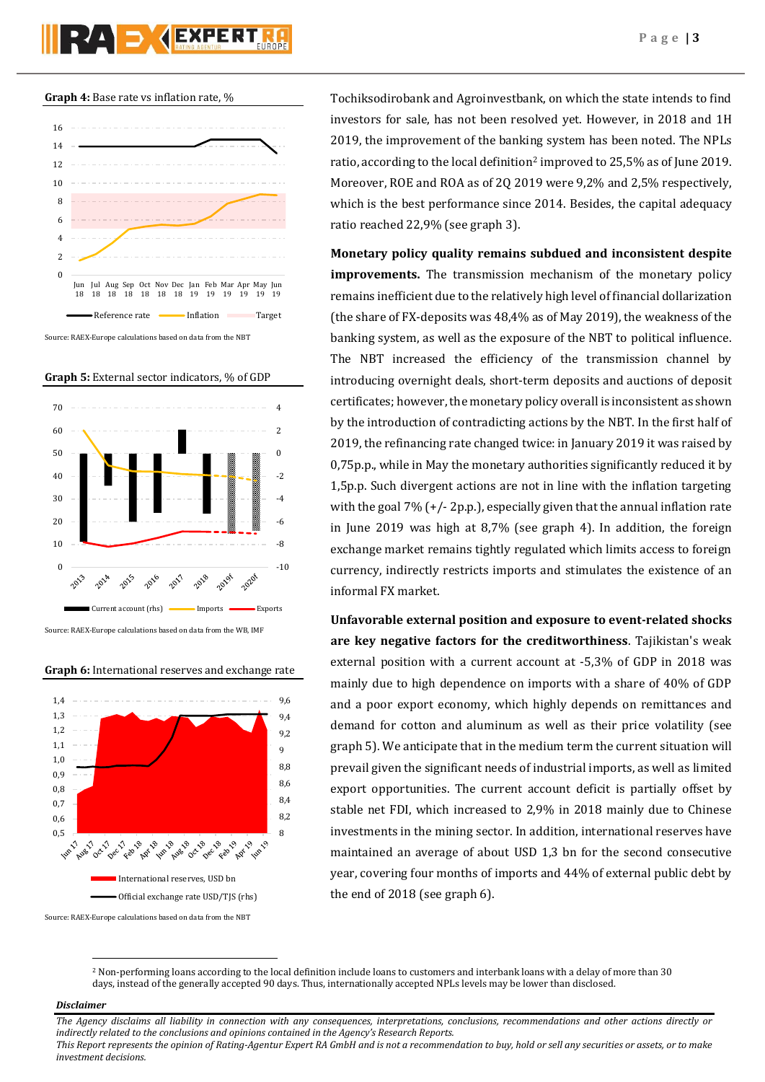**Graph 4:** Base rate vs inflation rate, %







#### **Graph 6:** International reserves and exchange rate



Source: RAEX-Europe calculations based on data from the NBT

Tochiksodirobank and Agroinvestbank, on which the state intends to find investors for sale, has not been resolved yet. However, in 2018 and 1H 2019, the improvement of the banking system has been noted. The NPLs ratio, according to the local definition<sup>2</sup> improved to 25,5% as of June 2019. Moreover, ROE and ROA as of 2Q 2019 were 9,2% and 2,5% respectively, which is the best performance since 2014. Besides, the capital adequacy ratio reached 22,9% (see graph 3).

**Monetary policy quality remains subdued and inconsistent despite improvements.** The transmission mechanism of the monetary policy remains inefficient due to the relatively high level of financial dollarization (the share of FX-deposits was 48,4% as of May 2019), the weakness of the banking system, as well as the exposure of the NBT to political influence. The NBT increased the efficiency of the transmission channel by introducing overnight deals, short-term deposits and auctions of deposit certificates; however, the monetary policy overall is inconsistent as shown by the introduction of contradicting actions by the NBT. In the first half of 2019, the refinancing rate changed twice: in January 2019 it was raised by 0,75p.p., while in May the monetary authorities significantly reduced it by 1,5p.p. Such divergent actions are not in line with the inflation targeting with the goal 7% (+/- 2p.p.), especially given that the annual inflation rate in June 2019 was high at 8,7% (see graph 4). In addition, the foreign exchange market remains tightly regulated which limits access to foreign currency, indirectly restricts imports and stimulates the existence of an informal FX market.

**Unfavorable external position and exposure to event-related shocks are key negative factors for the creditworthiness**. Tajikistan's weak external position with a current account at -5,3% of GDP in 2018 was mainly due to high dependence on imports with a share of 40% of GDP and a poor export economy, which highly depends on remittances and demand for cotton and aluminum as well as their price volatility (see graph 5). We anticipate that in the medium term the current situation will prevail given the significant needs of industrial imports, as well as limited export opportunities. The current account deficit is partially offset by stable net FDI, which increased to 2,9% in 2018 mainly due to Chinese investments in the mining sector. In addition, international reserves have maintained an average of about USD 1,3 bn for the second consecutive year, covering four months of imports and 44% of external public debt by the end of 2018 (see graph 6).

<sup>2</sup> Non-performing loans according to the local definition include loans to customers and interbank loans with a delay of more than 30 days, instead of the generally accepted 90 days. Thus, internationally accepted NPLs levels may be lower than disclosed.

## *Disclaimer*

 $\overline{a}$ 

*The Agency disclaims all liability in connection with any consequences, interpretations, conclusions, recommendations and other actions directly or indirectly related to the conclusions and opinions contained in the Agency's Research Reports. This Report represents the opinion of Rating-Agentur Expert RA GmbH and is not a recommendation to buy, hold or sell any securities or assets, or to make* 

*investment decisions.*